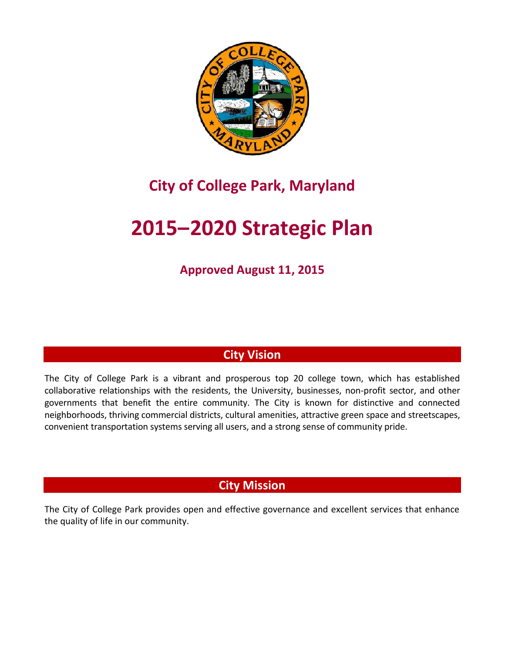

## **City of College Park, Maryland**

# **2015–2020 Strategic Plan**

**Approved August 11, 2015**

## **City Vision**

The City of College Park is a vibrant and prosperous top 20 college town, which has established collaborative relationships with the residents, the University, businesses, non-profit sector, and other governments that benefit the entire community. The City is known for distinctive and connected neighborhoods, thriving commercial districts, cultural amenities, attractive green space and streetscapes, convenient transportation systems serving all users, and a strong sense of community pride.

## **City Mission**

The City of College Park provides open and effective governance and excellent services that enhance the quality of life in our community.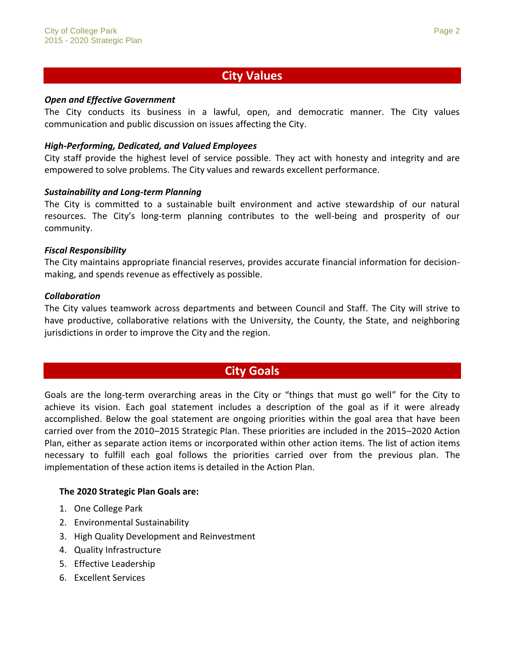### **City Values**

#### *Open and Effective Government*

The City conducts its business in a lawful, open, and democratic manner. The City values communication and public discussion on issues affecting the City.

#### *High-Performing, Dedicated, and Valued Employees*

City staff provide the highest level of service possible. They act with honesty and integrity and are empowered to solve problems. The City values and rewards excellent performance.

#### *Sustainability and Long-term Planning*

The City is committed to a sustainable built environment and active stewardship of our natural resources. The City's long-term planning contributes to the well-being and prosperity of our community.

#### *Fiscal Responsibility*

The City maintains appropriate financial reserves, provides accurate financial information for decision making, and spends revenue as effectively as possible.

#### *Collaboration*

The City values teamwork across departments and between Council and Staff. The City will strive to have productive, collaborative relations with the University, the County, the State, and neighboring jurisdictions in order to improve the City and the region.

#### **City Goals**

Goals are the long-term overarching areas in the City or "things that must go well" for the City to achieve its vision. Each goal statement includes a description of the goal as if it were already accomplished. Below the goal statement are ongoing priorities within the goal area that have been carried over from the 2010–2015 Strategic Plan. These priorities are included in the 2015–2020 Action Plan, either as separate action items or incorporated within other action items. The list of action items necessary to fulfill each goal follows the priorities carried over from the previous plan. The implementation of these action items is detailed in the Action Plan.

#### **The 2020 Strategic Plan Goals are:**

- 1. One College Park
- 2. Environmental Sustainability
- 3. High Quality Development and Reinvestment
- 4. Quality Infrastructure
- 5. Effective Leadership
- 6. Excellent Services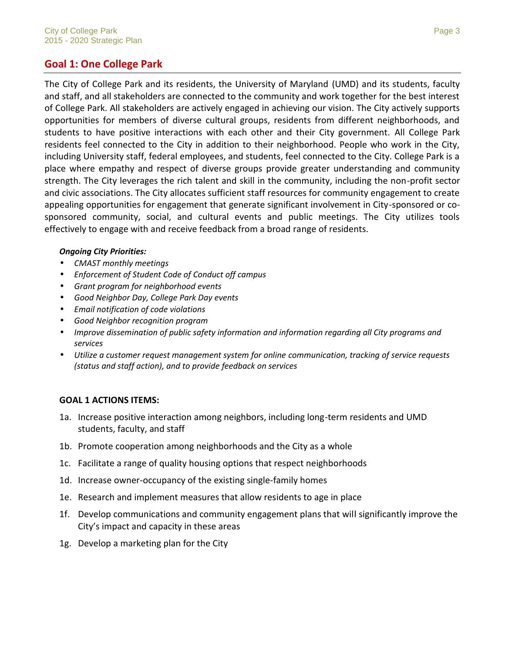#### **Goal 1: One College Park**

The City of College Park and its residents, the University of Maryland (UMD) and its students, faculty and staff, and all stakeholders are connected to the community and work together for the best interest of College Park. All stakeholders are actively engaged in achieving our vision. The City actively supports opportunities for members of diverse cultural groups, residents from different neighborhoods, and students to have positive interactions with each other and their City government. All College Park residents feel connected to the City in addition to their neighborhood. People who work in the City, including University staff, federal employees, and students, feel connected to the City. College Park is a place where empathy and respect of diverse groups provide greater understanding and community strength. The City leverages the rich talent and skill in the community, including the non-profit sector and civic associations. The City allocates sufficient staff resources for community engagement to create appealing opportunities for engagement that generate significant involvement in City-sponsored or co sponsored community, social, and cultural events and public meetings. The City utilizes tools effectively to engage with and receive feedback from a broad range of residents.

#### *Ongoing City Priorities:*

- *CMAST monthly meetings*
- *Enforcement of Student Code of Conduct off campus*
- *Grant program for neighborhood events*
- *Good Neighbor Day, College Park Day events*
- *Email notification of code violations*
- *Good Neighbor recognition program*
- *Improve dissemination of public safety information and information regarding all City programs and services*
- *Utilize a customer request management system for online communication, tracking of service requests (status and staff action), and to provide feedback on services*

#### **GOAL 1 ACTIONS ITEMS:**

- 1a. Increase positive interaction among neighbors, including long-term residents and UMD students, faculty, and staff
- 1b. Promote cooperation among neighborhoods and the City as a whole
- 1c. Facilitate a range of quality housing options that respect neighborhoods
- 1d. Increase owner-occupancy of the existing single-family homes
- 1e. Research and implement measures that allow residents to age in place
- 1f. Develop communications and community engagement plans that will significantly improve the City's impact and capacity in these areas
- 1g. Develop a marketing plan for the City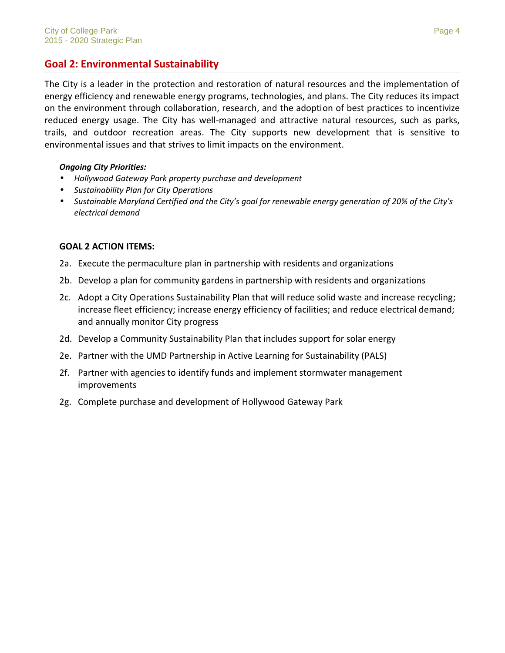#### **Goal 2: Environmental Sustainability**

The City is a leader in the protection and restoration of natural resources and the implementation of energy efficiency and renewable energy programs, technologies, and plans. The City reduces its impact on the environment through collaboration, research, and the adoption of best practices to incentivize reduced energy usage. The City has well-managed and attractive natural resources, such as parks, trails, and outdoor recreation areas. The City supports new development that is sensitive to environmental issues and that strives to limit impacts on the environment.

#### *Ongoing City Priorities:*

- *Hollywood Gateway Park property purchase and development*
- *Sustainability Plan for City Operations*
- *Sustainable Maryland Certified and the City's goal for renewable energy generation of 20% of the City's electrical demand*

#### **GOAL 2 ACTION ITEMS:**

- 2a. Execute the permaculture plan in partnership with residents and organizations
- 2b. Develop a plan for community gardens in partnership with residents and organizations
- 2c. Adopt a City Operations Sustainability Plan that will reduce solid waste and increase recycling; increase fleet efficiency; increase energy efficiency of facilities; and reduce electrical demand; and annually monitor City progress
- 2d. Develop a Community Sustainability Plan that includes support for solar energy
- 2e. Partner with the UMD Partnership in Active Learning for Sustainability (PALS)
- 2f. Partner with agencies to identify funds and implement stormwater management improvements
- 2g. Complete purchase and development of Hollywood Gateway Park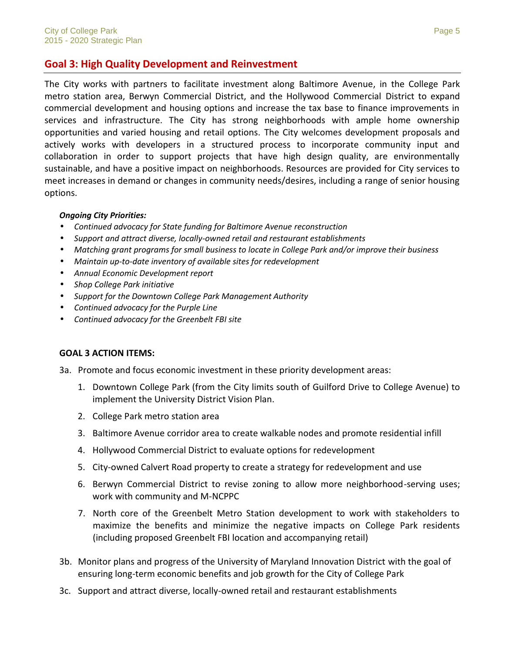#### **Goal 3: High Quality Development and Reinvestment**

The City works with partners to facilitate investment along Baltimore Avenue, in the College Park metro station area, Berwyn Commercial District, and the Hollywood Commercial District to expand commercial development and housing options and increase the tax base to finance improvements in services and infrastructure. The City has strong neighborhoods with ample home ownership opportunities and varied housing and retail options. The City welcomes development proposals and actively works with developers in a structured process to incorporate community input and collaboration in order to support projects that have high design quality, are environmentally sustainable, and have a positive impact on neighborhoods. Resources are provided for City services to meet increases in demand or changes in community needs/desires, including a range of senior housing options.

#### *Ongoing City Priorities:*

- *Continued advocacy for State funding for Baltimore Avenue reconstruction*
- *Support and attract diverse, locally-owned retail and restaurant establishments*
- *Matching grant programs for small business to locate in College Park and/or improve their business*
- *Maintain up-to-date inventory of available sites for redevelopment*
- *Annual Economic Development report*
- *Shop College Park initiative*
- *Support for the Downtown College Park Management Authority*
- *Continued advocacy for the Purple Line*
- *Continued advocacy for the Greenbelt FBI site*

#### **GOAL 3 ACTION ITEMS:**

- 3a. Promote and focus economic investment in these priority development areas:
	- 1. Downtown College Park (from the City limits south of Guilford Drive to College Avenue) to implement the University District Vision Plan.
	- 2. College Park metro station area
	- 3. Baltimore Avenue corridor area to create walkable nodes and promote residential infill
	- 4. Hollywood Commercial District to evaluate options for redevelopment
	- 5. City-owned Calvert Road property to create a strategy for redevelopment and use
	- 6. Berwyn Commercial District to revise zoning to allow more neighborhood-serving uses; work with community and M-NCPPC
	- 7. North core of the Greenbelt Metro Station development to work with stakeholders to maximize the benefits and minimize the negative impacts on College Park residents (including proposed Greenbelt FBI location and accompanying retail)
- 3b. Monitor plans and progress of the University of Maryland Innovation District with the goal of ensuring long-term economic benefits and job growth for the City of College Park
- 3c. Support and attract diverse, locally-owned retail and restaurant establishments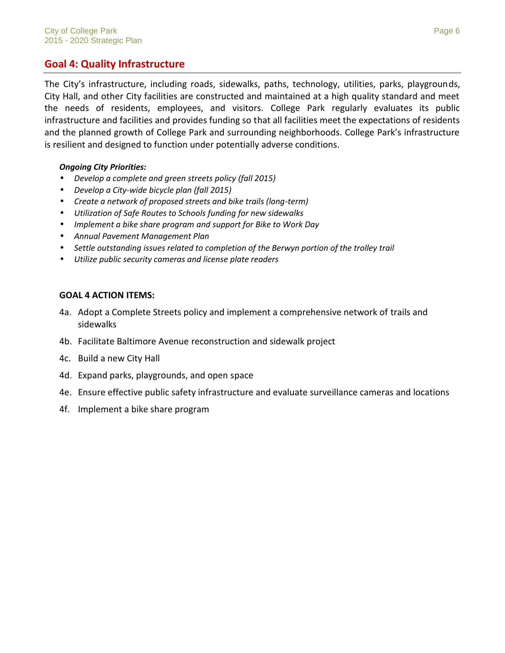#### **Goal 4: Quality Infrastructure**

The City's infrastructure, including roads, sidewalks, paths, technology, utilities, parks, playgrounds, City Hall, and other City facilities are constructed and maintained at a high quality standard and meet the needs of residents, employees, and visitors. College Park regularly evaluates its public infrastructure and facilities and provides funding so that all facilities meet the expectations of residents and the planned growth of College Park and surrounding neighborhoods. College Park's infrastructure is resilient and designed to function under potentially adverse conditions.

#### *Ongoing City Priorities:*

- *Develop a complete and green streets policy (fall 2015)*
- *Develop a City-wide bicycle plan (fall 2015)*
- *Create a network of proposed streets and bike trails (long-term)*
- *Utilization of Safe Routes to Schools funding for new sidewalks*
- *Implement a bike share program and support for Bike to Work Day*
- *Annual Pavement Management Plan*
- *Settle outstanding issues related to completion of the Berwyn portion of the trolley trail*
- *Utilize public security cameras and license plate readers*

#### **GOAL 4 ACTION ITEMS:**

- 4a. Adopt a Complete Streets policy and implement a comprehensive network of trails and sidewalks
- 4b. Facilitate Baltimore Avenue reconstruction and sidewalk project
- 4c. Build a new City Hall
- 4d. Expand parks, playgrounds, and open space
- 4e. Ensure effective public safety infrastructure and evaluate surveillance cameras and locations
- 4f. Implement a bike share program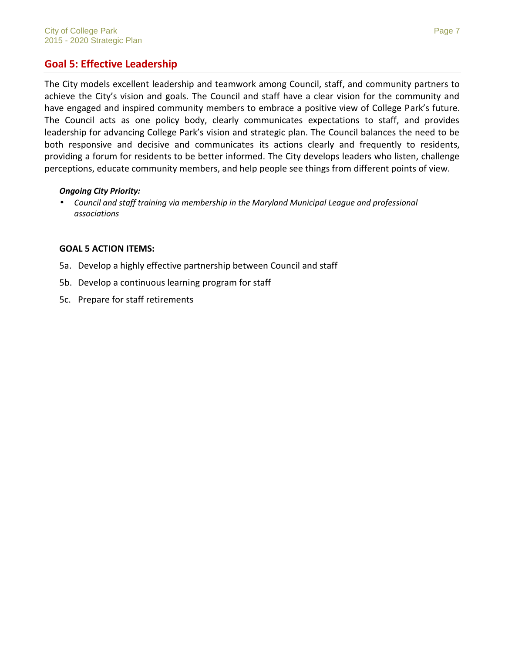#### **Goal 5: Effective Leadership**

The City models excellent leadership and teamwork among Council, staff, and community partners to achieve the City's vision and goals. The Council and staff have a clear vision for the community and have engaged and inspired community members to embrace a positive view of College Park's future. The Council acts as one policy body, clearly communicates expectations to staff, and provides leadership for advancing College Park's vision and strategic plan. The Council balances the need to be both responsive and decisive and communicates its actions clearly and frequently to residents, providing a forum for residents to be better informed. The City develops leaders who listen, challenge perceptions, educate community members, and help people see things from different points of view.

#### *Ongoing City Priority:*

 *Council and staff training via membership in the Maryland Municipal League and professional associations*

#### **GOAL 5 ACTION ITEMS:**

- 5a. Develop a highly effective partnership between Council and staff
- 5b. Develop a continuous learning program for staff
- 5c. Prepare for staff retirements